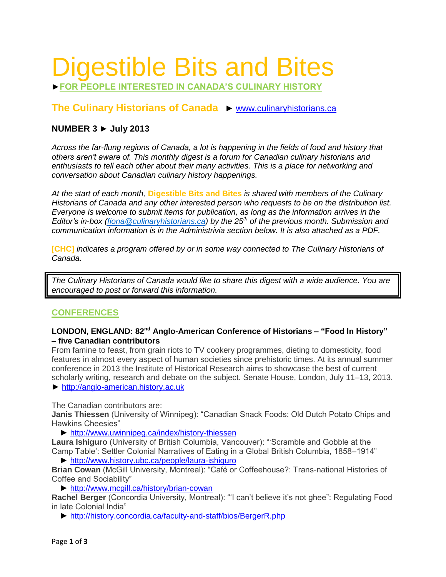# Digestible Bits and Bites

►**FOR PEOPLE INTERESTED IN CANADA'S CULINARY HISTORY**

# **The Culinary Historians of Canada** ► [www.culinaryhistorians.ca](http://www.culinaryhistorians.ca/)

## **NUMBER 3 ► July 2013**

*Across the far-flung regions of Canada, a lot is happening in the fields of food and history that others aren't aware of. This monthly digest is a forum for Canadian culinary historians and enthusiasts to tell each other about their many activities. This is a place for networking and conversation about Canadian culinary history happenings.* 

*At the start of each month,* **Digestible Bits and Bites** *is shared with members of the Culinary Historians of Canada and any other interested person who requests to be on the distribution list. Everyone is welcome to submit items for publication, as long as the information arrives in the Editor's in-box [\(fiona@culinaryhistorians.ca\)](mailto:fiona@culinaryhistorians.ca) by the 25th of the previous month. Submission and communication information is in the Administrivia section below. It is also attached as a PDF.*

**[CHC]** *indicates a program offered by or in some way connected to The Culinary Historians of Canada.*

*The Culinary Historians of Canada would like to share this digest with a wide audience. You are encouraged to post or forward this information.*

## **CONFERENCES**

## **LONDON, ENGLAND: 82nd Anglo-American Conference of Historians – "Food In History" – five Canadian contributors**

From famine to feast, from grain riots to TV cookery programmes, dieting to domesticity, food features in almost every aspect of human societies since prehistoric times. At its annual summer conference in 2013 the Institute of Historical Research aims to showcase the best of current scholarly writing, research and debate on the subject. Senate House, London, July 11–13, 2013. ► [http://anglo-american.history.ac.uk](http://anglo-american.history.ac.uk/)

The Canadian contributors are:

**Janis Thiessen** (University of Winnipeg): "Canadian Snack Foods: Old Dutch Potato Chips and Hawkins Cheesies"

► <http://www.uwinnipeg.ca/index/history-thiessen>

**Laura Ishiguro** (University of British Columbia, Vancouver): "'Scramble and Gobble at the Camp Table': Settler Colonial Narratives of Eating in a Global British Columbia, 1858–1914"

► <http://www.history.ubc.ca/people/laura-ishiguro>

**Brian Cowan** (McGill University, Montreal): "Café or Coffeehouse?: Trans-national Histories of Coffee and Sociability"

► <http://www.mcgill.ca/history/brian-cowan>

**Rachel Berger** (Concordia University, Montreal): "'I can't believe it's not ghee": Regulating Food in late Colonial India"

► <http://history.concordia.ca/faculty-and-staff/bios/BergerR.php>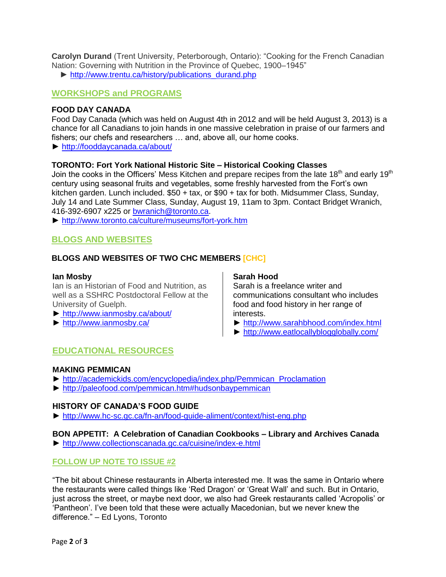**Carolyn Durand** (Trent University, Peterborough, Ontario): "Cooking for the French Canadian Nation: Governing with Nutrition in the Province of Quebec, 1900–1945"

**►** [http://www.trentu.ca/history/publications\\_durand.php](http://www.trentu.ca/history/publications_durand.php)

## **WORKSHOPS and PROGRAMS**

## **FOOD DAY CANADA**

Food Day Canada (which was held on August 4th in 2012 and will be held August 3, 2013) is a chance for all Canadians to join hands in one massive celebration in praise of our farmers and fishers; our chefs and researchers … and, above all, our home cooks.

► <http://fooddaycanada.ca/about/>

## **TORONTO: Fort York National Historic Site – Historical Cooking Classes**

Join the cooks in the Officers' Mess Kitchen and prepare recipes from the late 18<sup>th</sup> and early 19<sup>th</sup> century using seasonal fruits and vegetables, some freshly harvested from the Fort's own kitchen garden. Lunch included. \$50 + tax, or \$90 + tax for both. Midsummer Class, Sunday, July 14 and Late Summer Class, Sunday, August 19, 11am to 3pm. Contact Bridget Wranich, 416-392-6907 x225 or [bwranich@toronto.ca.](mailto:bwranich@toronto.ca)

► <http://www.toronto.ca/culture/museums/fort-york.htm>

# **BLOGS AND WEBSITES**

## **BLOGS AND WEBSITES OF TWO CHC MEMBERS [CHC]**

#### **Ian Mosby**

Ian is an Historian of Food and Nutrition, as well as a SSHRC Postdoctoral Fellow at the University of Guelph.

- ► <http://www.ianmosby.ca/about/>
- ► <http://www.ianmosby.ca/>

#### **Sarah Hood**

Sarah is a freelance writer and communications consultant who includes food and food history in her range of interests.

- ► <http://www.sarahbhood.com/index.html>
- ► <http://www.eatlocallyblogglobally.com/>

## **EDUCATIONAL RESOURCES**

## **MAKING PEMMICAN**

- ► [http://academickids.com/encyclopedia/index.php/Pemmican\\_Proclamation](http://academickids.com/encyclopedia/index.php/Pemmican_Proclamation)
- ►<http://paleofood.com/pemmican.htm#hudsonbaypemmican>

## **HISTORY OF CANADA'S FOOD GUIDE**

► <http://www.hc-sc.gc.ca/fn-an/food-guide-aliment/context/hist-eng.php>

## **BON APPETIT: A Celebration of Canadian Cookbooks – Library and Archives Canada**

► <http://www.collectionscanada.gc.ca/cuisine/index-e.html>

## **FOLLOW UP NOTE TO ISSUE #2**

"The bit about Chinese restaurants in Alberta interested me. It was the same in Ontario where the restaurants were called things like 'Red Dragon' or 'Great Wall' and such. But in Ontario, just across the street, or maybe next door, we also had Greek restaurants called 'Acropolis' or 'Pantheon'. I've been told that these were actually Macedonian, but we never knew the difference." – Ed Lyons, Toronto